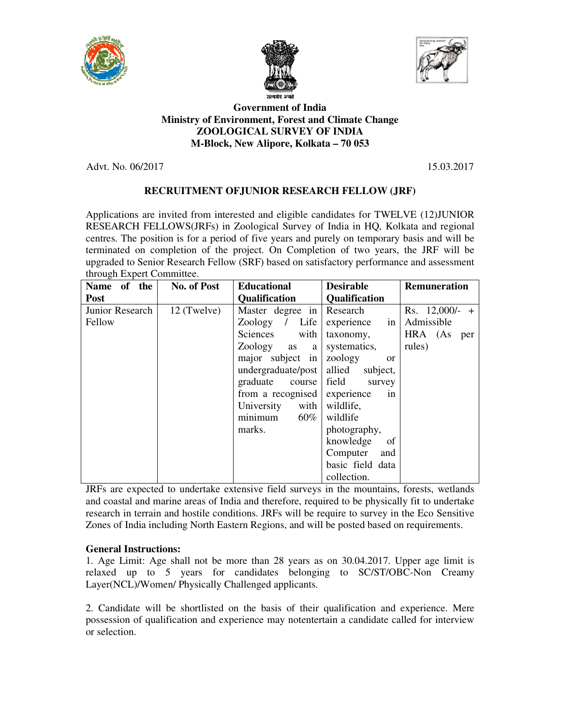





## **Ministry of Environment, Forest and Climate Change ZOOLOGICAL SURVEY OF INDIA M-Block, New Alipore, Kolkata – 70 053 Government of India**

Advt. No. 06/2017

15.03.2017

# **RECRUITMENT OF OFJUNIOR RESEARCH FELLOW (JRF)**

Applications are invited from interested and eligible candidates for TWELVE (12)JUNIOR RESEARCH FELLOWS(JRFs) in Zoological Survey of India in HQ, Kolkata and regional centres. The position is for a period of five years and purely on temporary basis and will be centres. The position is for a period of five years and purely on temporary basis and will be terminated on completion of the project. On Completion of two years, the JRF will be upgraded to Senior Research Fellow ( (SRF) based on satisfactory performance and asses through Expert Committee. RCH FELLOWS(JRFs) in Zoological Survey of India in HQ, Kolkata and regional<br>The position is for a period of five years and purely on temporary basis and will be<br>ed on completion of the project. On Completion of two years,

| of the<br><b>Name</b>                                                                           | No. of Post | <b>Educational</b>          | <b>Desirable</b>         | <b>Remuneration</b> |  |  |
|-------------------------------------------------------------------------------------------------|-------------|-----------------------------|--------------------------|---------------------|--|--|
| <b>Post</b>                                                                                     |             | <b>Qualification</b>        | <b>Qualification</b>     |                     |  |  |
| Junior Research                                                                                 | 12 (Twelve) | Master degree in            | Research                 | Rs. $12,000/-$ +    |  |  |
| Fellow                                                                                          |             | Zoology<br>Life<br>$\prime$ | experience<br>in         | Admissible          |  |  |
|                                                                                                 |             | Sciences<br>with            | taxonomy,                | HRA (As<br>per      |  |  |
|                                                                                                 |             | Zoology<br>as<br>a          | systematics,             | rules)              |  |  |
|                                                                                                 |             | major subject in            | zoology<br><sub>or</sub> |                     |  |  |
|                                                                                                 |             | undergraduate/post          | allied<br>subject,       |                     |  |  |
|                                                                                                 |             | graduate<br>course          | field<br>survey          |                     |  |  |
|                                                                                                 |             | from a recognised           | experience<br>1n         |                     |  |  |
|                                                                                                 |             | University<br>with          | wildlife,                |                     |  |  |
|                                                                                                 |             | $60\%$<br>minimum           | wildlife                 |                     |  |  |
|                                                                                                 |             | marks.                      | photography,             |                     |  |  |
|                                                                                                 |             |                             | knowledge<br>of          |                     |  |  |
|                                                                                                 |             |                             | Computer<br>and          |                     |  |  |
|                                                                                                 |             |                             | basic field data         |                     |  |  |
|                                                                                                 |             |                             | collection.              |                     |  |  |
| JRFs are expected to undertake extensive field surveys in the mountains, forests, wetlands      |             |                             |                          |                     |  |  |
| and coastal and marine areas of India and therefore, required to be physically fit to undertake |             |                             |                          |                     |  |  |
| research in terrain and hostile conditions. JRFs will be require to survey in the Eco Sensitive |             |                             |                          |                     |  |  |
| Zones of India including North Eastern Regions, and will be posted based on requirements.       |             |                             |                          |                     |  |  |

## **General Instructions:**

Zones of India including North Eastern Regions, and will be posted based on requirements.<br>General Instructions:<br>1. Age Limit: Age shall not be more than 28 years as on 30.04.2017. Upper age limit is relaxed up to 5 years for candidates belonging to SC/ST/OBC-Non Creamy Layer(NCL)/Women/ Physically Challenged applicants. 30.04.2017. Upper age<br>to SC/ST/OBC-Non<br>lification and experience

2. Candidate will be shortlisted on the basis of their qualification and experience. Mere possession of qualification and experience may notentertain a candidate called for interview or selection.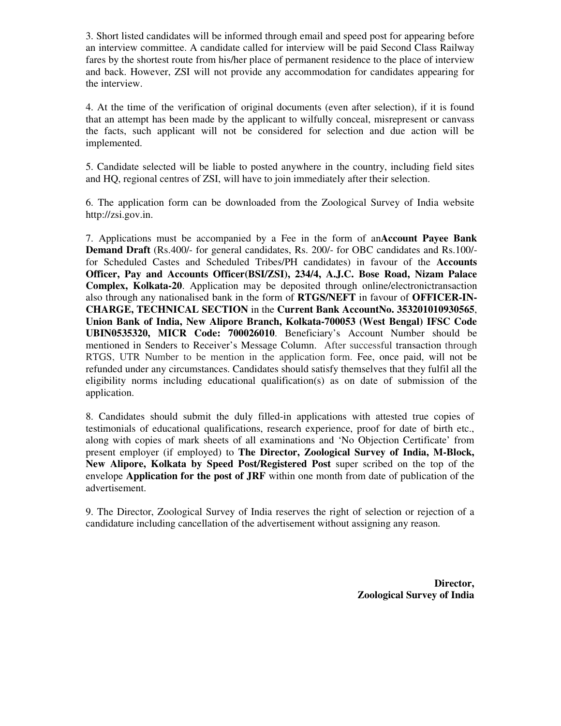3. Short listed candidates will be informed through email and speed post for appearing before an interview committee. A candidate called for interview will be paid Second Class Railway fares by the shortest route from his/her place of permanent residence to the place of interview and back. However, ZSI will not provide any accommodation for candidates appearing for the interview.

4. At the time of the verification of original documents (even after selection), if it is found that an attempt has been made by the applicant to wilfully conceal, misrepresent or canvass the facts, such applicant will not be considered for selection and due action will be implemented.

5. Candidate selected will be liable to posted anywhere in the country, including field sites and HQ, regional centres of ZSI, will have to join immediately after their selection.

6. The application form can be downloaded from the Zoological Survey of India website http://zsi.gov.in.

7. Applications must be accompanied by a Fee in the form of an**Account Payee Bank Demand Draft** (Rs.400/- for general candidates, Rs. 200/- for OBC candidates and Rs.100/ for Scheduled Castes and Scheduled Tribes/PH candidates) in favour of the **Accounts Officer, Pay and Accounts Officer(BSI/ZSI), 234/4, A.J.C. Bose Road, Nizam Palace Complex, Kolkata-20**. Application may be deposited through online/electronictransaction also through any nationalised bank in the form of **RTGS/NEFT** in favour of **OFFICER-IN-CHARGE, TECHNICAL SECTION** in the **Current Bank AccountNo. 353201010930565**, **Union Bank of India, New Alipore Branch, Kolkata-700053 (West Bengal) IFSC Code UBIN0535320, MICR Code: 700026010**. Beneficiary's Account Number should be mentioned in Senders to Receiver's Message Column. After successful transaction through RTGS, UTR Number to be mention in the application form. Fee, once paid, will not be refunded under any circumstances. Candidates should satisfy themselves that they fulfil all the eligibility norms including educational qualification(s) as on date of submission of the application.

8. Candidates should submit the duly filled-in applications with attested true copies of testimonials of educational qualifications, research experience, proof for date of birth etc., along with copies of mark sheets of all examinations and 'No Objection Certificate' from present employer (if employed) to **The Director, Zoological Survey of India, M-Block, New Alipore, Kolkata by Speed Post/Registered Post** super scribed on the top of the envelope **Application for the post of JRF** within one month from date of publication of the advertisement.

9. The Director, Zoological Survey of India reserves the right of selection or rejection of a candidature including cancellation of the advertisement without assigning any reason.

> **Director, Zoological Survey of India**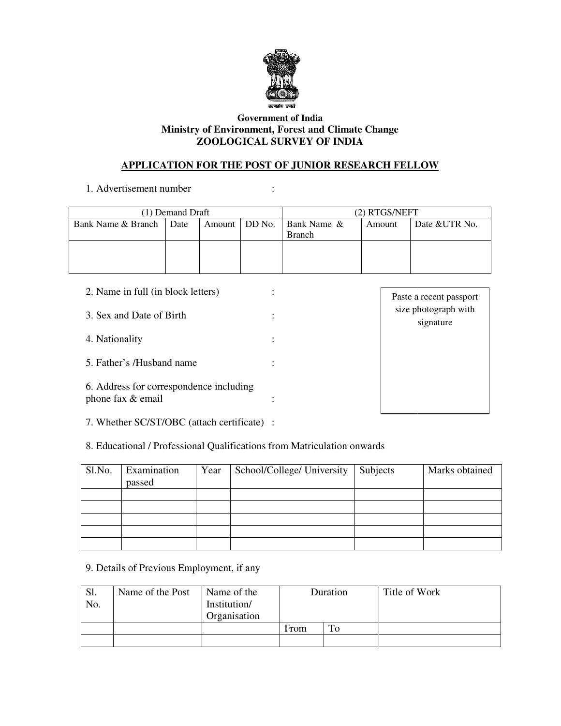

## **Ministry of Environment, Forest and Climate Change ZOOLOGICAL SURVEY OF INDIA Government of India**

# **APPLICATION FOR THE POST OF JUNIOR RESEARCH FELLOW POST**

:

1. Advertisement number

| (1) Demand Draft   |             |  |                 | (2) RTGS/NEFT |        |               |
|--------------------|-------------|--|-----------------|---------------|--------|---------------|
| Bank Name & Branch | <b>Date</b> |  | Amount   DD No. | Bank Name &   | Amount | Date &UTR No. |
|                    |             |  |                 | <b>Branch</b> |        |               |
|                    |             |  |                 |               |        |               |
|                    |             |  |                 |               |        |               |
|                    |             |  |                 |               |        |               |

|                          | 2. Name in full (in block letters)                                      |                         |  |                            |               |  | Paste a recent passport           |
|--------------------------|-------------------------------------------------------------------------|-------------------------|--|----------------------------|---------------|--|-----------------------------------|
| 3. Sex and Date of Birth |                                                                         |                         |  |                            |               |  | size photograph with<br>signature |
| 4. Nationality           |                                                                         |                         |  |                            |               |  |                                   |
|                          | 5. Father's /Husband name                                               |                         |  |                            |               |  |                                   |
|                          | 6. Address for correspondence including<br>phone fax & email            |                         |  |                            |               |  |                                   |
|                          | 7. Whether SC/ST/OBC (attach certificate) :                             |                         |  |                            |               |  |                                   |
|                          | 8. Educational / Professional Qualifications from Matriculation onwards |                         |  |                            |               |  |                                   |
| Sl.No.                   | Examination<br>passed                                                   | Year                    |  | School/College/ University | Subjects      |  | Marks obtained                    |
|                          |                                                                         |                         |  |                            |               |  |                                   |
|                          |                                                                         |                         |  |                            |               |  |                                   |
|                          | 9. Details of Previous Employment, if any                               |                         |  |                            |               |  |                                   |
| Sl.                      | Name of the Post                                                        | Name of the<br>Duration |  |                            | Title of Work |  |                                   |

| 8. Educational / Professional Qualifications from Matriculation onwards |                       |      |                            |          |                |  |
|-------------------------------------------------------------------------|-----------------------|------|----------------------------|----------|----------------|--|
| Sl.No.                                                                  | Examination<br>passed | Year | School/College/ University | Subjects | Marks obtained |  |
|                                                                         |                       |      |                            |          |                |  |
|                                                                         |                       |      |                            |          |                |  |
|                                                                         |                       |      |                            |          |                |  |
|                                                                         |                       |      |                            |          |                |  |
|                                                                         |                       |      |                            |          |                |  |

| Sl.<br>No. | Name of the Post | Name of the<br>Institution/<br>Organisation | Duration |    | Title of Work |
|------------|------------------|---------------------------------------------|----------|----|---------------|
|            |                  |                                             | From     | To |               |
|            |                  |                                             |          |    |               |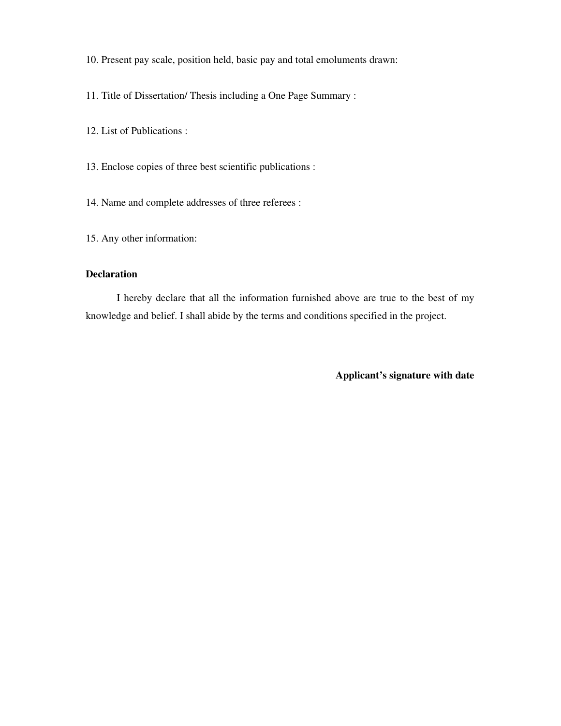10. Present pay scale, position held, basic pay and total emoluments drawn:

11. Title of Dissertation/ Thesis including a One Page Summary :

12. List of Publications :

13. Enclose copies of three best scientific publications :

14. Name and complete addresses of three referees :

15. Any other information:

## **Declaration**

I hereby declare that all the information furnished above are true to the best of my knowledge and belief. I shall abide by the terms and conditions specified in the project.

**Applicant's signature with date**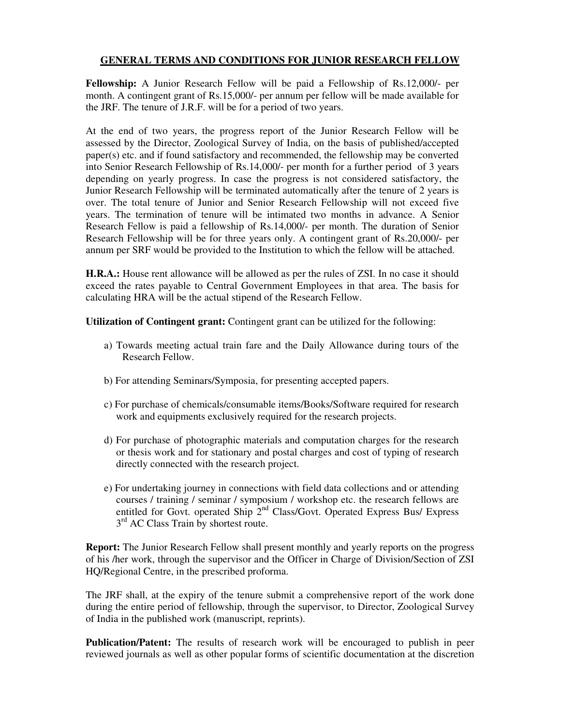## **GENERAL TERMS AND CONDITIONS FOR JUNIOR RESEARCH FELLOW**

**Fellowship:** A Junior Research Fellow will be paid a Fellowship of Rs.12,000/- per month. A contingent grant of Rs.15,000/- per annum per fellow will be made available for the JRF. The tenure of J.R.F. will be for a period of two years.

At the end of two years, the progress report of the Junior Research Fellow will be assessed by the Director, Zoological Survey of India, on the basis of published/accepted paper(s) etc. and if found satisfactory and recommended, the fellowship may be converted into Senior Research Fellowship of Rs.14,000/- per month for a further period of 3 years depending on yearly progress. In case the progress is not considered satisfactory, the Junior Research Fellowship will be terminated automatically after the tenure of 2 years is over. The total tenure of Junior and Senior Research Fellowship will not exceed five years. The termination of tenure will be intimated two months in advance. A Senior Research Fellow is paid a fellowship of Rs.14,000/- per month. The duration of Senior Research Fellowship will be for three years only. A contingent grant of Rs.20,000/- per annum per SRF would be provided to the Institution to which the fellow will be attached.

**H.R.A.:** House rent allowance will be allowed as per the rules of ZSI. In no case it should exceed the rates payable to Central Government Employees in that area. The basis for calculating HRA will be the actual stipend of the Research Fellow.

**Utilization of Contingent grant:** Contingent grant can be utilized for the following:

- a) Towards meeting actual train fare and the Daily Allowance during tours of the Research Fellow.
- b) For attending Seminars/Symposia, for presenting accepted papers.
- c) For purchase of chemicals/consumable items/Books/Software required for research work and equipments exclusively required for the research projects.
- d) For purchase of photographic materials and computation charges for the research or thesis work and for stationary and postal charges and cost of typing of research directly connected with the research project.
- e) For undertaking journey in connections with field data collections and or attending courses / training / seminar / symposium / workshop etc. the research fellows are entitled for Govt. operated Ship 2<sup>nd</sup> Class/Govt. Operated Express Bus/ Express 3<sup>rd</sup> AC Class Train by shortest route.

**Report:** The Junior Research Fellow shall present monthly and yearly reports on the progress of his /her work, through the supervisor and the Officer in Charge of Division/Section of ZSI HQ/Regional Centre, in the prescribed proforma.

The JRF shall, at the expiry of the tenure submit a comprehensive report of the work done during the entire period of fellowship, through the supervisor, to Director, Zoological Survey of India in the published work (manuscript, reprints).

**Publication/Patent:** The results of research work will be encouraged to publish in peer reviewed journals as well as other popular forms of scientific documentation at the discretion